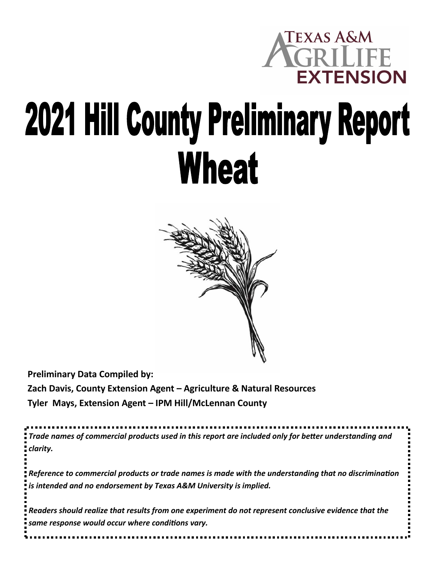

## **2021 Hill County Preliminary Report Wheat**



**Preliminary Data Compiled by: Zach Davis, County Extension Agent – Agriculture & Natural Resources Tyler Mays, Extension Agent – IPM Hill/McLennan County**

*Trade names of commercial products used in this report are included only for better understanding and clarity.* 

*Reference to commercial products or trade names is made with the understanding that no discrimination is intended and no endorsement by Texas A&M University is implied.* 

*Readers should realize that results from one experiment do not represent conclusive evidence that the same response would occur where conditions vary.*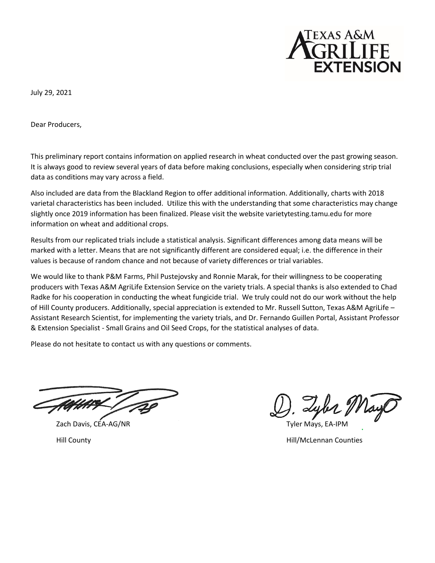

July 29, 2021

Dear Producers,

This preliminary report contains information on applied research in wheat conducted over the past growing season. It is always good to review several years of data before making conclusions, especially when considering strip trial data as conditions may vary across a field.

Also included are data from the Blackland Region to offer additional information. Additionally, charts with 2018 varietal characteristics has been included. Utilize this with the understanding that some characteristics may change slightly once 2019 information has been finalized. Please visit the website varietytesting.tamu.edu for more information on wheat and additional crops.

Results from our replicated trials include a statistical analysis. Significant differences among data means will be marked with a letter. Means that are not significantly different are considered equal; i.e. the difference in their values is because of random chance and not because of variety differences or trial variables.

We would like to thank P&M Farms, Phil Pustejovsky and Ronnie Marak, for their willingness to be cooperating producers with Texas A&M AgriLife Extension Service on the variety trials. A special thanks is also extended to Chad Radke for his cooperation in conducting the wheat fungicide trial. We truly could not do our work without the help of Hill County producers. Additionally, special appreciation is extended to Mr. Russell Sutton, Texas A&M AgriLife – Assistant Research Scientist, for implementing the variety trials, and Dr. Fernando Guillen Portal, Assistant Professor & Extension Specialist - Small Grains and Oil Seed Crops, for the statistical analyses of data.

Please do not hesitate to contact us with any questions or comments.

Zach Davis, CEA-AG/NR Tyler Mays, EA-IPM

Lybe May

Hill County Hill/McLennan Counties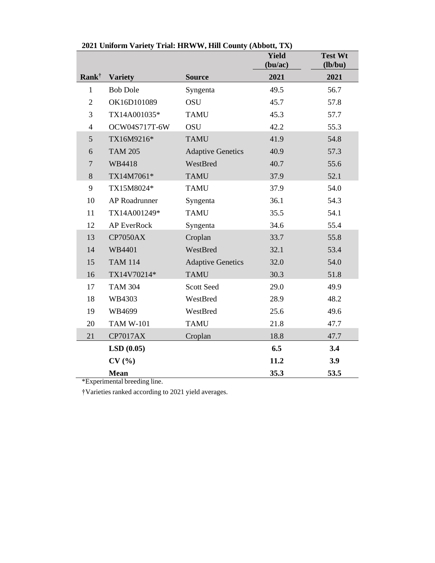|                          | 2021 Спибни уансту тиан. НКWW, Ниг County (Abbott, 12X) |                          | <b>Yield</b><br>(bu/ac) | <b>Test Wt</b><br>(lb/bu) |
|--------------------------|---------------------------------------------------------|--------------------------|-------------------------|---------------------------|
| <b>Rank</b> <sup>†</sup> | <b>Variety</b>                                          | <b>Source</b>            | 2021                    | 2021                      |
| $\mathbf{1}$             | <b>Bob Dole</b>                                         | Syngenta                 | 49.5                    | 56.7                      |
| $\overline{2}$           | OK16D101089                                             | <b>OSU</b>               | 45.7                    | 57.8                      |
| 3                        | TX14A001035*                                            | <b>TAMU</b>              | 45.3                    | 57.7                      |
| $\overline{4}$           | OCW04S717T-6W                                           | <b>OSU</b>               | 42.2                    | 55.3                      |
| 5                        | TX16M9216*                                              | <b>TAMU</b>              | 41.9                    | 54.8                      |
| 6                        | <b>TAM 205</b>                                          | <b>Adaptive Genetics</b> | 40.9                    | 57.3                      |
| $\overline{7}$           | WB4418                                                  | WestBred                 | 40.7                    | 55.6                      |
| 8                        | TX14M7061*                                              | <b>TAMU</b>              | 37.9                    | 52.1                      |
| 9                        | TX15M8024*                                              | <b>TAMU</b>              | 37.9                    | 54.0                      |
| 10                       | <b>AP</b> Roadrunner                                    | Syngenta                 | 36.1                    | 54.3                      |
| 11                       | TX14A001249*                                            | <b>TAMU</b>              | 35.5                    | 54.1                      |
| 12                       | <b>AP EverRock</b>                                      | Syngenta                 | 34.6                    | 55.4                      |
| 13                       | <b>CP7050AX</b>                                         | Croplan                  | 33.7                    | 55.8                      |
| 14                       | WB4401                                                  | WestBred                 | 32.1                    | 53.4                      |
| 15                       | <b>TAM 114</b>                                          | <b>Adaptive Genetics</b> | 32.0                    | 54.0                      |
| 16                       | TX14V70214*                                             | <b>TAMU</b>              | 30.3                    | 51.8                      |
| 17                       | <b>TAM 304</b>                                          | <b>Scott Seed</b>        | 29.0                    | 49.9                      |
| 18                       | WB4303                                                  | WestBred                 | 28.9                    | 48.2                      |
| 19                       | WB4699                                                  | WestBred                 | 25.6                    | 49.6                      |
| 20                       | <b>TAM W-101</b>                                        | <b>TAMU</b>              | 21.8                    | 47.7                      |
| 21                       | <b>CP7017AX</b>                                         | Croplan                  | 18.8                    | 47.7                      |
|                          | LSD(0.05)                                               |                          | 6.5                     | 3.4                       |
|                          | CV(%)                                                   |                          | 11.2                    | 3.9                       |
|                          | <b>Mean</b>                                             |                          | 35.3                    | 53.5                      |

| 2021 Uniform Variety Trial: HRWW, Hill County (Abbott, TX) |  |  |  |  |  |
|------------------------------------------------------------|--|--|--|--|--|
|------------------------------------------------------------|--|--|--|--|--|

\*Experimental breeding line.

†Varieties ranked according to 2021 yield averages.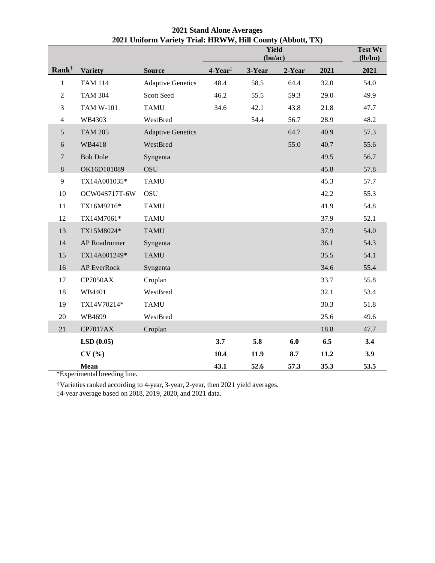|                   |                  |                          | Yield<br>(bu/ac)    |        |        | <b>Test Wt</b><br>(lb/bu) |      |
|-------------------|------------------|--------------------------|---------------------|--------|--------|---------------------------|------|
| Rank <sup>†</sup> | <b>Variety</b>   | <b>Source</b>            | 4-Year <sup>‡</sup> | 3-Year | 2-Year | 2021                      | 2021 |
| $\,1$             | <b>TAM 114</b>   | <b>Adaptive Genetics</b> | 48.4                | 58.5   | 64.4   | 32.0                      | 54.0 |
| $\overline{2}$    | <b>TAM 304</b>   | Scott Seed               | 46.2                | 55.5   | 59.3   | 29.0                      | 49.9 |
| 3                 | <b>TAM W-101</b> | <b>TAMU</b>              | 34.6                | 42.1   | 43.8   | 21.8                      | 47.7 |
| $\overline{4}$    | WB4303           | WestBred                 |                     | 54.4   | 56.7   | 28.9                      | 48.2 |
| 5                 | <b>TAM 205</b>   | <b>Adaptive Genetics</b> |                     |        | 64.7   | 40.9                      | 57.3 |
| 6                 | WB4418           | WestBred                 |                     |        | 55.0   | 40.7                      | 55.6 |
| 7                 | <b>Bob Dole</b>  | Syngenta                 |                     |        |        | 49.5                      | 56.7 |
| $8\,$             | OK16D101089      | <b>OSU</b>               |                     |        |        | 45.8                      | 57.8 |
| 9                 | TX14A001035*     | <b>TAMU</b>              |                     |        |        | 45.3                      | 57.7 |
| $10\,$            | OCW04S717T-6W    | <b>OSU</b>               |                     |        |        | 42.2                      | 55.3 |
| 11                | TX16M9216*       | <b>TAMU</b>              |                     |        |        | 41.9                      | 54.8 |
| 12                | TX14M7061*       | <b>TAMU</b>              |                     |        |        | 37.9                      | 52.1 |
| 13                | TX15M8024*       | <b>TAMU</b>              |                     |        |        | 37.9                      | 54.0 |
| 14                | AP Roadrunner    | Syngenta                 |                     |        |        | 36.1                      | 54.3 |
| 15                | TX14A001249*     | <b>TAMU</b>              |                     |        |        | 35.5                      | 54.1 |
| 16                | AP EverRock      | Syngenta                 |                     |        |        | 34.6                      | 55.4 |
| 17                | <b>CP7050AX</b>  | Croplan                  |                     |        |        | 33.7                      | 55.8 |
| 18                | WB4401           | WestBred                 |                     |        |        | 32.1                      | 53.4 |
| 19                | TX14V70214*      | <b>TAMU</b>              |                     |        |        | 30.3                      | 51.8 |
| $20\,$            | WB4699           | WestBred                 |                     |        |        | 25.6                      | 49.6 |
| 21                | <b>CP7017AX</b>  | Croplan                  |                     |        |        | 18.8                      | 47.7 |
|                   | LSD(0.05)        |                          | 3.7                 | 5.8    | 6.0    | 6.5                       | 3.4  |
|                   | CV(%)            |                          | 10.4                | 11.9   | 8.7    | 11.2                      | 3.9  |
|                   | Mean             |                          | 43.1                | 52.6   | 57.3   | 35.3                      | 53.5 |

 **Stand Alone Averages Uniform Variety Trial: HRWW, Hill County (Abbott, TX)**

\*Experimental breeding line.

†Varieties ranked according to 4-year, 3-year, 2-year, then 2021 yield averages.

‡4-year average based on 2018, 2019, 2020, and 2021 data.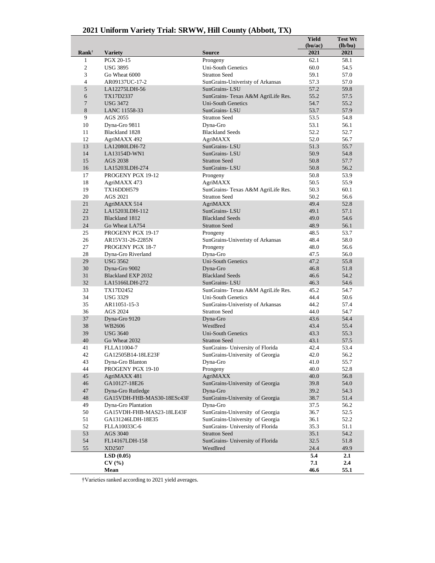| 2021 Uniform Variety Trial: SRWW, Hill County (Abbott, TX) |  |  |  |  |  |  |
|------------------------------------------------------------|--|--|--|--|--|--|
|------------------------------------------------------------|--|--|--|--|--|--|

|                  |                            |                                    | <b>Yield</b><br>(bu/ac) | <b>Test Wt</b><br>(lb/bu) |
|------------------|----------------------------|------------------------------------|-------------------------|---------------------------|
| $Rank^{\dagger}$ | <b>Variety</b>             | <b>Source</b>                      | 2021                    | 2021                      |
| $\mathbf{1}$     | PGX 20-15                  | Prongeny                           | 62.1                    | 58.1                      |
| $\overline{c}$   | <b>USG 3895</b>            | <b>Uni-South Genetics</b>          | 60.0                    | 54.5                      |
| 3                | Go Wheat 6000              | <b>Stratton Seed</b>               | 59.1                    | 57.0                      |
| $\overline{4}$   | AR09137UC-17-2             | SunGrains-Univeristy of Arkansas   | 57.3                    | 57.0                      |
| 5                | LA12275LDH-56              | SunGrains-LSU                      | 57.2                    | 59.8                      |
| 6                | TX17D2337                  | SunGrains- Texas A&M AgriLife Res. | 55.2                    | 57.5                      |
| $\tau$           | <b>USG 3472</b>            | <b>Uni-South Genetics</b>          | 54.7                    | 55.2                      |
| 8                | LANC 11558-33              | SunGrains-LSU                      | 53.7                    | 57.9                      |
| 9                | AGS 2055                   | <b>Stratton Seed</b>               | 53.5                    | 54.8                      |
| 10               | Dyna-Gro 9811              | Dyna-Gro                           | 53.1                    | 56.1                      |
| 11               | Blackland 1828             | <b>Blackland Seeds</b>             | 52.2                    | 52.7                      |
| 12               | AgriMAXX 492               | AgriMAXX                           | 52.0                    | 56.7                      |
| 13               | LA12080LDH-72              | SunGrains-LSU                      | 51.3                    | 55.7                      |
| 14               | LA13154D-WN1               | SunGrains-LSU                      | 50.9                    | 54.8                      |
| 15               | AGS 2038                   | <b>Stratton Seed</b>               | 50.8                    | 57.7                      |
| 16               | LA15203LDH-274             | SunGrains-LSU                      | 50.8                    | 56.2                      |
| 17               | PROGENY PGX 19-12          | Prongeny                           | 50.8                    | 53.9                      |
| 18               | AgriMAXX 473               | AgriMAXX                           | 50.5                    | 55.9                      |
| 19               | TX16DDH579                 | SunGrains- Texas A&M AgriLife Res. | 50.3                    | 60.1                      |
| 20               | AGS 2021                   | <b>Stratton Seed</b>               | 50.2                    | 56.6                      |
| 21               | AgriMAXX 514               | AgriMAXX                           | 49.4                    | 52.8                      |
| 22               | LA15203LDH-112             | SunGrains-LSU                      | 49.1                    | 57.1                      |
| 23               | Blackland 1812             | <b>Blackland Seeds</b>             | 49.0                    | 54.6                      |
| 24               | Go Wheat LA754             | <b>Stratton Seed</b>               | 48.9                    | 56.1                      |
| 25               | PROGENY PGX 19-17          | Prongeny                           | 48.5                    | 53.7                      |
| 26               | AR15V31-26-2285N           | SunGrains-Univeristy of Arkansas   | 48.4                    | 58.0                      |
| 27               | <b>PROGENY PGX 18-7</b>    | Prongeny                           | 48.0                    | 56.6                      |
| 28               | Dyna-Gro Riverland         | Dyna-Gro                           | 47.5                    | 56.0                      |
| 29               | <b>USG 3562</b>            | <b>Uni-South Genetics</b>          | 47.2                    | 55.8                      |
| 30               | Dyna-Gro 9002              | Dyna-Gro                           | 46.8                    | 51.8                      |
| 31               | Blackland EXP 2032         | <b>Blackland Seeds</b>             | 46.6                    | 54.2                      |
| 32               | LA15166LDH-272             | SunGrains-LSU                      | 46.3                    | 54.6                      |
| 33               | TX17D2452                  | SunGrains- Texas A&M AgriLife Res. | 45.2                    | 54.7                      |
| 34               | <b>USG 3329</b>            | <b>Uni-South Genetics</b>          | 44.4                    | 50.6                      |
| 35               | AR11051-15-3               | SunGrains-Univeristy of Arkansas   | 44.2                    | 57.4                      |
| 36               | AGS 2024                   | <b>Stratton Seed</b>               | 44.0                    | 54.7                      |
| 37               | Dyna-Gro 9120              | Dyna-Gro                           | 43.6                    | 54.4                      |
| 38               | WB2606                     | WestBred                           | 43.4                    | 55.4                      |
| 39               | <b>USG 3640</b>            | <b>Uni-South Genetics</b>          | 43.3                    | 55.3                      |
| 40               | Go Wheat 2032              | <b>Stratton Seed</b>               | 43.1                    | 57.5                      |
| 41               | FLLA11004-7                | SunGrains- University of Florida   | 42.4                    | 53.4                      |
| 42               | GA12505B14-18LE23F         | SunGrains-University of Georgia    | 42.0                    | 56.2                      |
| 43               | Dyna-Gro Blanton           | Dyna-Gro                           | 41.0                    | 55.7                      |
| 44               | PROGENY PGX 19-10          | Prongeny                           | 40.0                    | 52.8                      |
| 45               | AgriMAXX 481               | AgriMAXX                           | 40.0                    | 56.8                      |
| 46               | GA10127-18E26              | SunGrains-University of Georgia    | 39.8                    | 54.0                      |
| 47               | Dyna-Gro Rutledge          | Dyna-Gro                           | 39.2                    | 54.3                      |
| 48               | GA15VDH-FHB-MAS30-18ESc43F | SunGrains-University of Georgia    | 38.7                    | 51.4                      |
| 49               | Dyna-Gro Plantation        | Dyna-Gro                           | 37.5                    | 56.2                      |
| 50               | GA15VDH-FHB-MAS23-18LE43F  | SunGrains-University of Georgia    | 36.7                    | 52.5                      |
| 51               | GA131246LDH-18E35          | SunGrains-University of Georgia    | 36.1                    | 52.2                      |
| 52               | FLLA10033C-6               | SunGrains- University of Florida   | 35.3                    | 51.1                      |
| 53<br>54         | AGS 3040                   | <b>Stratton Seed</b>               | 35.1                    | 54.2                      |
|                  | FL14167LDH-158             | SunGrains- University of Florida   | 32.5                    | 51.8                      |
| 55               | XD2507                     | WestBred                           | 24.4                    | 49.9                      |
|                  | LSD(0.05)                  |                                    | 5.4<br>7.1              | 2.1<br>2.4                |
|                  | CV(%<br>Mean               |                                    | 46.6                    | 55.1                      |
|                  |                            |                                    |                         |                           |

†Varieties ranked according to 2021 yield averages.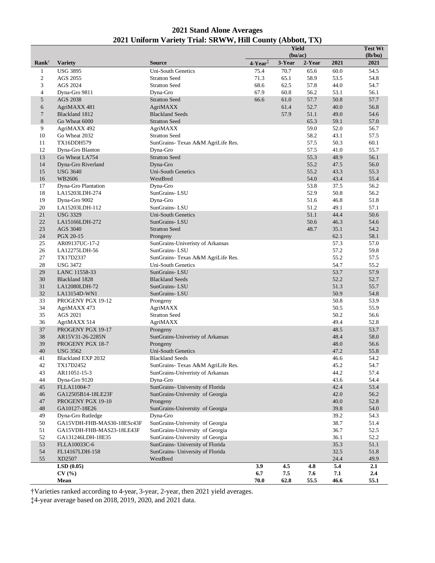| <b>2021 Stand Alone Averages</b>                           |
|------------------------------------------------------------|
| 2021 Uniform Variety Trial: SRWW, Hill County (Abbott, TX) |

|                  |                                    |                                             |                                            | Yield<br>(bu/ac) |              |              | Test Wt<br>(lb/bu) |
|------------------|------------------------------------|---------------------------------------------|--------------------------------------------|------------------|--------------|--------------|--------------------|
| $Rank^{\dagger}$ | <b>Variety</b>                     | <b>Source</b>                               | $4$ -Year <sup><math>\ddagger</math></sup> | 3-Year           | 2-Year       | 2021         | 2021               |
| $\mathbf{1}$     | <b>USG 3895</b>                    | <b>Uni-South Genetics</b>                   | 75.4                                       | 70.7             | 65.6         | 60.0         | 54.5               |
| $\sqrt{2}$       | AGS 2055                           | <b>Stratton Seed</b>                        | 71.3                                       | 65.1             | 58.9         | 53.5         | 54.8               |
| 3                | AGS 2024                           | <b>Stratton Seed</b>                        | 68.6                                       | 62.5             | 57.8         | 44.0         | 54.7               |
| $\overline{4}$   | Dyna-Gro 9811                      | Dyna-Gro                                    | 67.9                                       | 60.8             | 56.2         | 53.1         | 56.1               |
| 5                | AGS 2038                           | <b>Stratton Seed</b>                        | 66.6                                       | 61.0             | 57.7         | 50.8         | 57.7               |
| 6                | AgriMAXX 481                       | AgriMAXX                                    |                                            | 61.4             | 52.7         | 40.0         | 56.8               |
| 7                | Blackland 1812                     | <b>Blackland Seeds</b>                      |                                            | 57.9             | 51.1         | 49.0         | 54.6               |
| 8<br>9           | Go Wheat 6000                      | <b>Stratton Seed</b><br>AgriMAXX            |                                            |                  | 65.3<br>59.0 | 59.1<br>52.0 | 57.0<br>56.7       |
| 10               | AgriMAXX 492<br>Go Wheat 2032      | <b>Stratton Seed</b>                        |                                            |                  | 58.2         | 43.1         | 57.5               |
| 11               | TX16DDH579                         | SunGrains- Texas A&M AgriLife Res.          |                                            |                  | 57.5         | 50.3         | 60.1               |
| 12               | Dyna-Gro Blanton                   | Dyna-Gro                                    |                                            |                  | 57.5         | 41.0         | 55.7               |
| 13               | Go Wheat LA754                     | <b>Stratton Seed</b>                        |                                            |                  | 55.3         | 48.9         | 56.1               |
| 14               | Dyna-Gro Riverland                 | Dyna-Gro                                    |                                            |                  | 55.2         | 47.5         | 56.0               |
| 15               | <b>USG 3640</b>                    | Uni-South Genetics                          |                                            |                  | 55.2         | 43.3         | 55.3               |
| 16               | WB2606                             | WestBred                                    |                                            |                  | 54.0         | 43.4         | 55.4               |
| 17               | Dyna-Gro Plantation                | Dyna-Gro                                    |                                            |                  | 53.8         | 37.5         | 56.2               |
| 18               | LA15203LDH-274                     | SunGrains-LSU                               |                                            |                  | 52.9         | 50.8         | 56.2               |
| 19               | Dyna-Gro 9002                      | Dyna-Gro                                    |                                            |                  | 51.6         | 46.8         | 51.8               |
| 20               | LA15203LDH-112                     | SunGrains-LSU                               |                                            |                  | 51.2         | 49.1         | 57.1               |
| 21               | <b>USG 3329</b>                    | <b>Uni-South Genetics</b>                   |                                            |                  | 51.1         | 44.4         | 50.6               |
| 22               | LA15166LDH-272                     | SunGrains-LSU                               |                                            |                  | 50.6         | 46.3         | 54.6               |
| 23               | AGS 3040                           | <b>Stratton Seed</b>                        |                                            |                  | 48.7         | 35.1         | 54.2               |
| 24               | PGX 20-15                          | Prongeny                                    |                                            |                  |              | 62.1         | 58.1               |
| 25               | AR09137UC-17-2                     | SunGrains-Univeristy of Arkansas            |                                            |                  |              | 57.3         | 57.0               |
| 26               | LA12275LDH-56                      | SunGrains-LSU                               |                                            |                  |              | 57.2         | 59.8               |
| 27               | TX17D2337                          | SunGrains- Texas A&M AgriLife Res.          |                                            |                  |              | 55.2         | 57.5               |
| 28<br>29         | <b>USG 3472</b>                    | Uni-South Genetics                          |                                            |                  |              | 54.7<br>53.7 | 55.2<br>57.9       |
| 30               | LANC 11558-33<br>Blackland 1828    | SunGrains-LSU<br><b>Blackland Seeds</b>     |                                            |                  |              | 52.2         | 52.7               |
| 31               | LA12080LDH-72                      | SunGrains-LSU                               |                                            |                  |              | 51.3         | 55.7               |
| 32               | LA13154D-WN1                       | SunGrains-LSU                               |                                            |                  |              | 50.9         | 54.8               |
| 33               | PROGENY PGX 19-12                  | Prongeny                                    |                                            |                  |              | 50.8         | 53.9               |
| 34               | AgriMAXX 473                       | AgriMAXX                                    |                                            |                  |              | 50.5         | 55.9               |
| 35               | AGS 2021                           | <b>Stratton Seed</b>                        |                                            |                  |              | 50.2         | 56.6               |
| 36               | AgriMAXX 514                       | AgriMAXX                                    |                                            |                  |              | 49.4         | 52.8               |
| 37               | PROGENY PGX 19-17                  | Prongeny                                    |                                            |                  |              | 48.5         | 53.7               |
| 38               | AR15V31-26-2285N                   | SunGrains-Univeristy of Arkansas            |                                            |                  |              | 48.4         | 58.0               |
| 39               | PROGENY PGX 18-7                   | Prongeny                                    |                                            |                  |              | 48.0         | 56.6               |
| 40               | <b>USG 3562</b>                    | <b>Uni-South Genetics</b>                   |                                            |                  |              | 47.2         | 55.8               |
| 41               | Blackland EXP 2032                 | <b>Blackland Seeds</b>                      |                                            |                  |              | 46.6         | 54.2               |
| 42               | TX17D2452                          | SunGrains- Texas A&M AgriLife Res.          |                                            |                  |              | 45.2         | 54.7               |
| 43               | AR11051-15-3                       | SunGrains-Univeristy of Arkansas            |                                            |                  |              | 44.2         | 57.4               |
| 44               | Dyna-Gro 9120                      | Dyna-Gro                                    |                                            |                  |              | 43.6         | 54.4               |
| 45               | FLLA11004-7                        | SunGrains- University of Florida            |                                            |                  |              | 42.4         | 53.4               |
| 46               | GA12505B14-18LE23F                 | SunGrains-University of Georgia             |                                            |                  |              | 42.0<br>40.0 | 56.2<br>52.8       |
| 47<br>48         | PROGENY PGX 19-10<br>GA10127-18E26 | Prongeny<br>SunGrains-University of Georgia |                                            |                  |              | 39.8         | 54.0               |
| 49               | Dyna-Gro Rutledge                  | Dyna-Gro                                    |                                            |                  |              | 39.2         | 54.3               |
| 50               | GA15VDH-FHB-MAS30-18ESc43F         | SunGrains-University of Georgia             |                                            |                  |              | 38.7         | 51.4               |
| 51               | GA15VDH-FHB-MAS23-18LE43F          | SunGrains-University of Georgia             |                                            |                  |              | 36.7         | 52.5               |
| 52               | GA131246LDH-18E35                  | SunGrains-University of Georgia             |                                            |                  |              | 36.1         | 52.2               |
| 53               | FLLA10033C-6                       | SunGrains- University of Florida            |                                            |                  |              | 35.3         | 51.1               |
| 54               | FL14167LDH-158                     | SunGrains- University of Florida            |                                            |                  |              | 32.5         | 51.8               |
| 55               | XD2507                             | WestBred                                    |                                            |                  |              | 24.4         | 49.9               |
|                  | LSD(0.05)                          |                                             | 3.9                                        | 4.5              | 4.8          | 5.4          | 2.1                |
|                  | CV(%                               |                                             | 6.7                                        | 7.5              | 7.6          | 7.1          | 2.4                |
|                  | Mean                               |                                             | 70.0                                       | 62.8             | 55.5         | 46.6         | 55.1               |

†Varieties ranked according to 4-year, 3-year, 2-year, then 2021 yield averages.

‡4-year average based on 2018, 2019, 2020, and 2021 data.